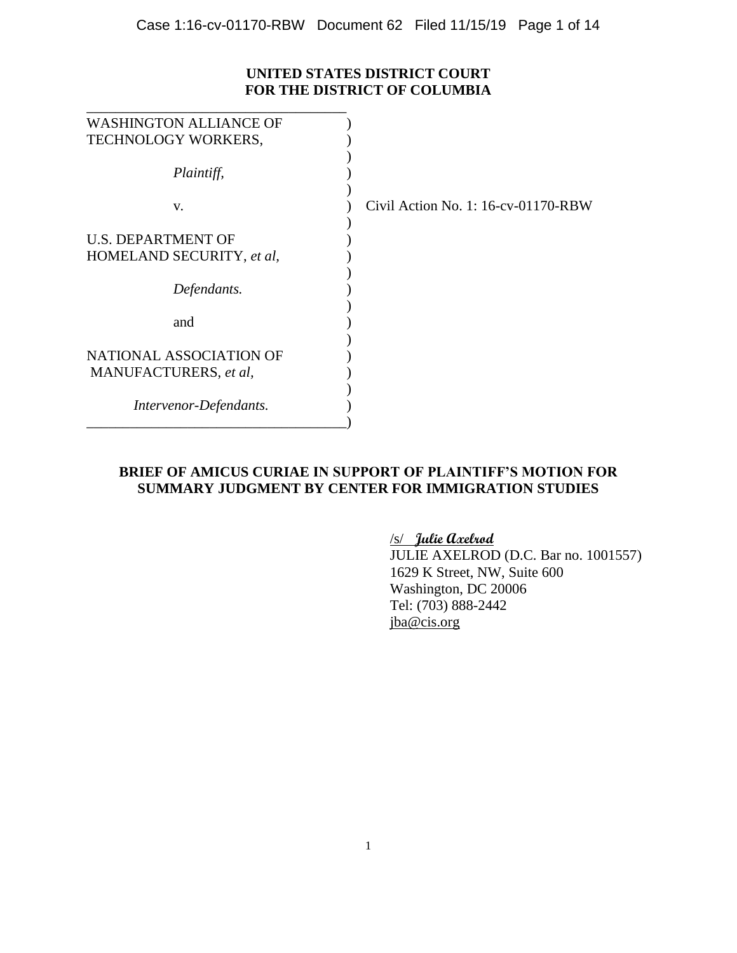## **UNITED STATES DISTRICT COURT FOR THE DISTRICT OF COLUMBIA**

| <b>WASHINGTON ALLIANCE OF</b> |                                     |
|-------------------------------|-------------------------------------|
| TECHNOLOGY WORKERS,           |                                     |
|                               |                                     |
| Plaintiff,                    |                                     |
| V.                            | Civil Action No. 1: 16-cv-01170-RBW |
| <b>U.S. DEPARTMENT OF</b>     |                                     |
| HOMELAND SECURITY, et al,     |                                     |
|                               |                                     |
| Defendants.                   |                                     |
|                               |                                     |
| and                           |                                     |
|                               |                                     |
| NATIONAL ASSOCIATION OF       |                                     |
|                               |                                     |
| MANUFACTURERS, et al,         |                                     |
|                               |                                     |
| Intervenor-Defendants.        |                                     |
|                               |                                     |

## **BRIEF OF AMICUS CURIAE IN SUPPORT OF PLAINTIFF'S MOTION FOR SUMMARY JUDGMENT BY CENTER FOR IMMIGRATION STUDIES**

/s/ **Julie Axelrod** 

JULIE AXELROD (D.C. Bar no. 1001557) 1629 K Street, NW, Suite 600 Washington, DC 20006 Tel: (703) 888-2442 jba@cis.org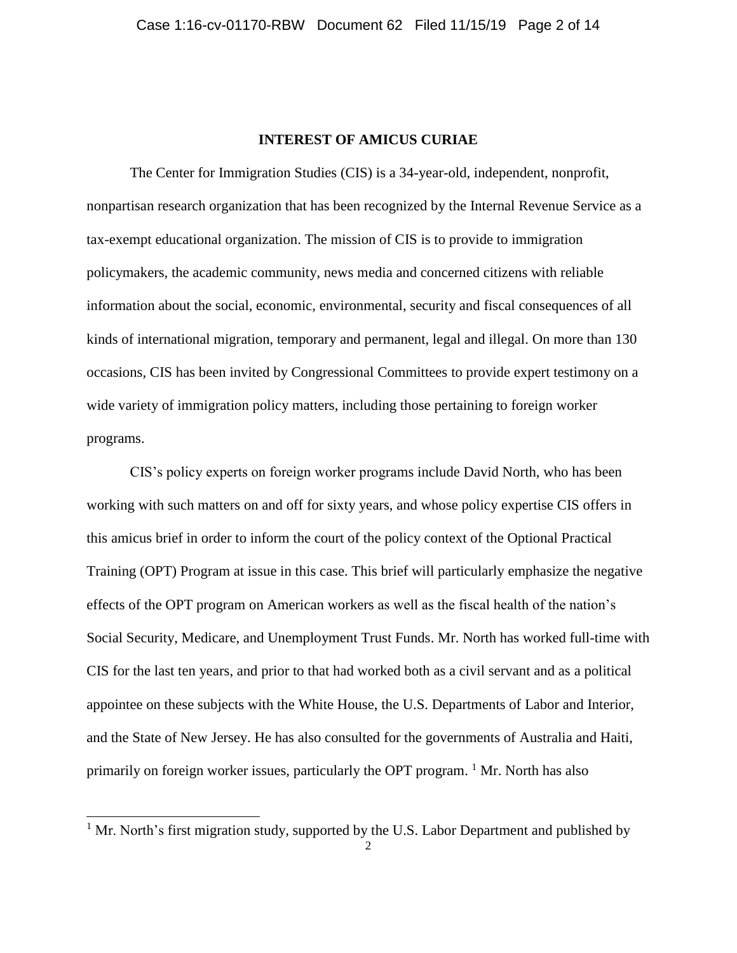### **INTEREST OF AMICUS CURIAE**

The Center for Immigration Studies (CIS) is a 34-year-old, independent, nonprofit, nonpartisan research organization that has been recognized by the Internal Revenue Service as a tax-exempt educational organization. The mission of CIS is to provide to immigration policymakers, the academic community, news media and concerned citizens with reliable information about the social, economic, environmental, security and fiscal consequences of all kinds of international migration, temporary and permanent, legal and illegal. On more than 130 occasions, CIS has been invited by Congressional Committees to provide expert testimony on a wide variety of immigration policy matters, including those pertaining to foreign worker programs.

CIS's policy experts on foreign worker programs include David North, who has been working with such matters on and off for sixty years, and whose policy expertise CIS offers in this amicus brief in order to inform the court of the policy context of the Optional Practical Training (OPT) Program at issue in this case. This brief will particularly emphasize the negative effects of the OPT program on American workers as well as the fiscal health of the nation's Social Security, Medicare, and Unemployment Trust Funds. Mr. North has worked full-time with CIS for the last ten years, and prior to that had worked both as a civil servant and as a political appointee on these subjects with the White House, the U.S. Departments of Labor and Interior, and the State of New Jersey. He has also consulted for the governments of Australia and Haiti, primarily on foreign worker issues, particularly the OPT program. <sup>1</sup> Mr. North has also

l

 $1$  Mr. North's first migration study, supported by the U.S. Labor Department and published by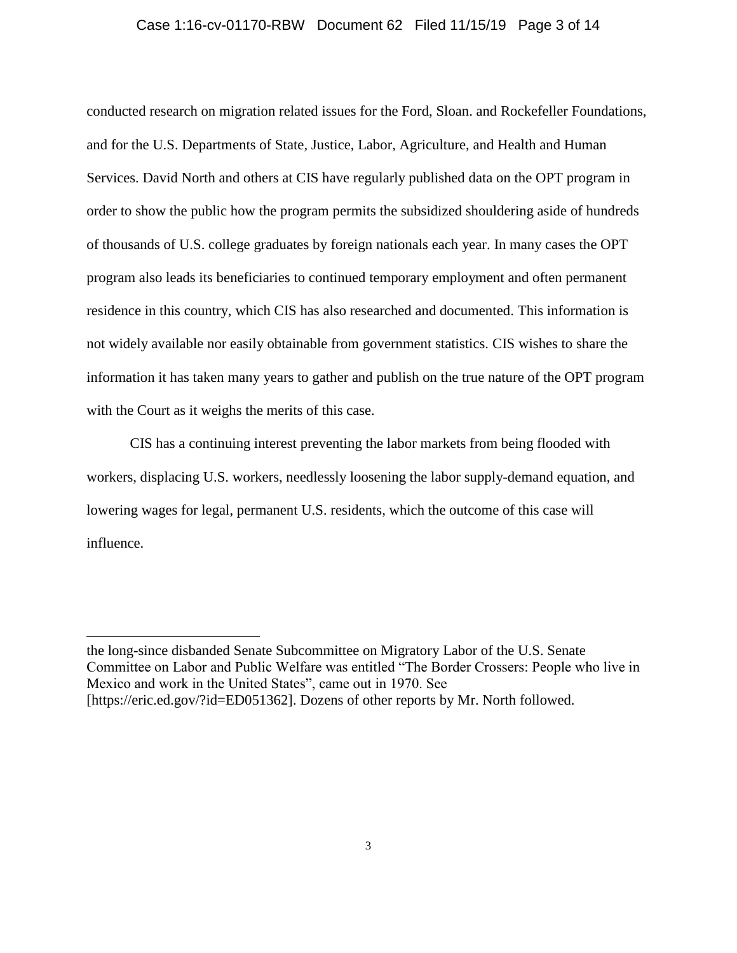### Case 1:16-cv-01170-RBW Document 62 Filed 11/15/19 Page 3 of 14

conducted research on migration related issues for the Ford, Sloan. and Rockefeller Foundations, and for the U.S. Departments of State, Justice, Labor, Agriculture, and Health and Human Services. David North and others at CIS have regularly published data on the OPT program in order to show the public how the program permits the subsidized shouldering aside of hundreds of thousands of U.S. college graduates by foreign nationals each year. In many cases the OPT program also leads its beneficiaries to continued temporary employment and often permanent residence in this country, which CIS has also researched and documented. This information is not widely available nor easily obtainable from government statistics. CIS wishes to share the information it has taken many years to gather and publish on the true nature of the OPT program with the Court as it weighs the merits of this case.

CIS has a continuing interest preventing the labor markets from being flooded with workers, displacing U.S. workers, needlessly loosening the labor supply-demand equation, and lowering wages for legal, permanent U.S. residents, which the outcome of this case will influence.

the long-since disbanded Senate Subcommittee on Migratory Labor of the U.S. Senate Committee on Labor and Public Welfare was entitled "The Border Crossers: People who live in Mexico and work in the United States", came out in 1970. See [https://eric.ed.gov/?id=ED051362]. Dozens of other reports by Mr. North followed.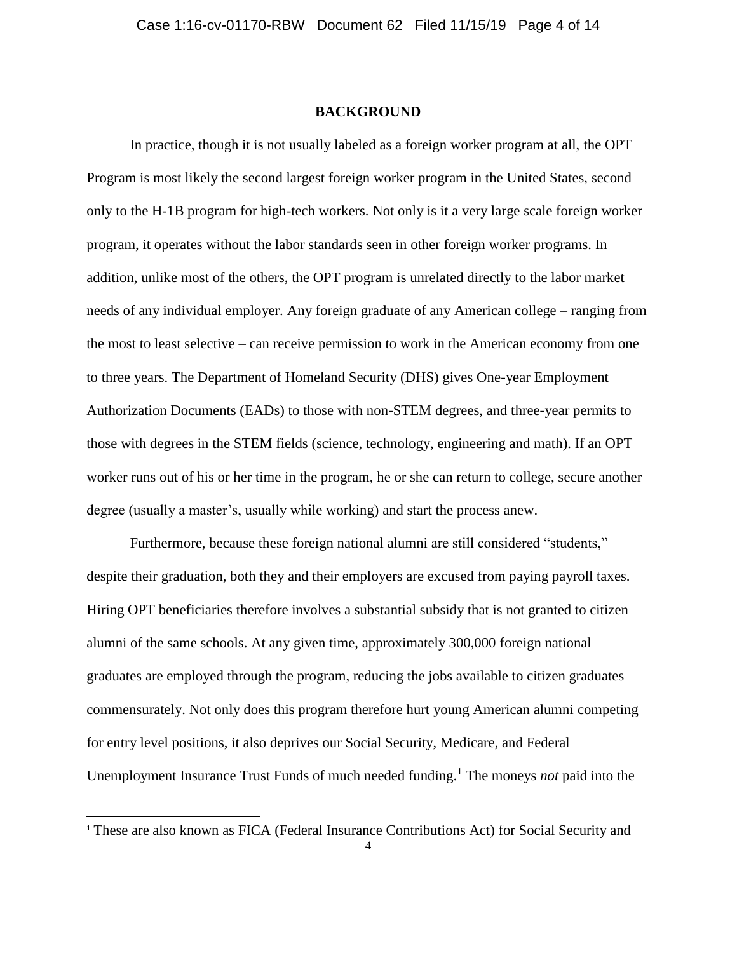#### **BACKGROUND**

In practice, though it is not usually labeled as a foreign worker program at all, the OPT Program is most likely the second largest foreign worker program in the United States, second only to the H-1B program for high-tech workers. Not only is it a very large scale foreign worker program, it operates without the labor standards seen in other foreign worker programs. In addition, unlike most of the others, the OPT program is unrelated directly to the labor market needs of any individual employer. Any foreign graduate of any American college – ranging from the most to least selective – can receive permission to work in the American economy from one to three years. The Department of Homeland Security (DHS) gives One-year Employment Authorization Documents (EADs) to those with non-STEM degrees, and three-year permits to those with degrees in the STEM fields (science, technology, engineering and math). If an OPT worker runs out of his or her time in the program, he or she can return to college, secure another degree (usually a master's, usually while working) and start the process anew.

Furthermore, because these foreign national alumni are still considered "students," despite their graduation, both they and their employers are excused from paying payroll taxes. Hiring OPT beneficiaries therefore involves a substantial subsidy that is not granted to citizen alumni of the same schools. At any given time, approximately 300,000 foreign national graduates are employed through the program, reducing the jobs available to citizen graduates commensurately. Not only does this program therefore hurt young American alumni competing for entry level positions, it also deprives our Social Security, Medicare, and Federal Unemployment Insurance Trust Funds of much needed funding.<sup>1</sup> The moneys *not* paid into the

l

<sup>&</sup>lt;sup>1</sup> These are also known as FICA (Federal Insurance Contributions Act) for Social Security and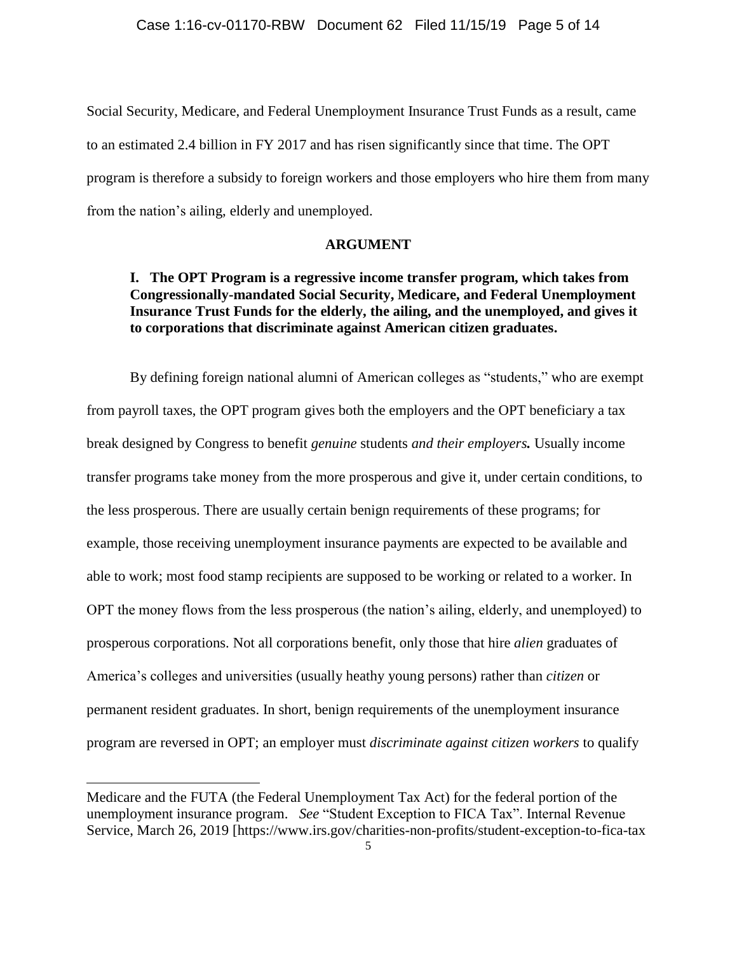Social Security, Medicare, and Federal Unemployment Insurance Trust Funds as a result, came to an estimated 2.4 billion in FY 2017 and has risen significantly since that time. The OPT program is therefore a subsidy to foreign workers and those employers who hire them from many from the nation's ailing, elderly and unemployed.

### **ARGUMENT**

## **I. The OPT Program is a regressive income transfer program, which takes from Congressionally-mandated Social Security, Medicare, and Federal Unemployment Insurance Trust Funds for the elderly, the ailing, and the unemployed, and gives it to corporations that discriminate against American citizen graduates.**

By defining foreign national alumni of American colleges as "students," who are exempt from payroll taxes, the OPT program gives both the employers and the OPT beneficiary a tax break designed by Congress to benefit *genuine* students *and their employers.* Usually income transfer programs take money from the more prosperous and give it, under certain conditions, to the less prosperous. There are usually certain benign requirements of these programs; for example, those receiving unemployment insurance payments are expected to be available and able to work; most food stamp recipients are supposed to be working or related to a worker. In OPT the money flows from the less prosperous (the nation's ailing, elderly, and unemployed) to prosperous corporations. Not all corporations benefit, only those that hire *alien* graduates of America's colleges and universities (usually heathy young persons) rather than *citizen* or permanent resident graduates. In short, benign requirements of the unemployment insurance program are reversed in OPT; an employer must *discriminate against citizen workers* to qualify

Medicare and the FUTA (the Federal Unemployment Tax Act) for the federal portion of the unemployment insurance program. *See* "Student Exception to FICA Tax". Internal Revenue Service, March 26, 2019 [https://www.irs.gov/charities-non-profits/student-exception-to-fica-tax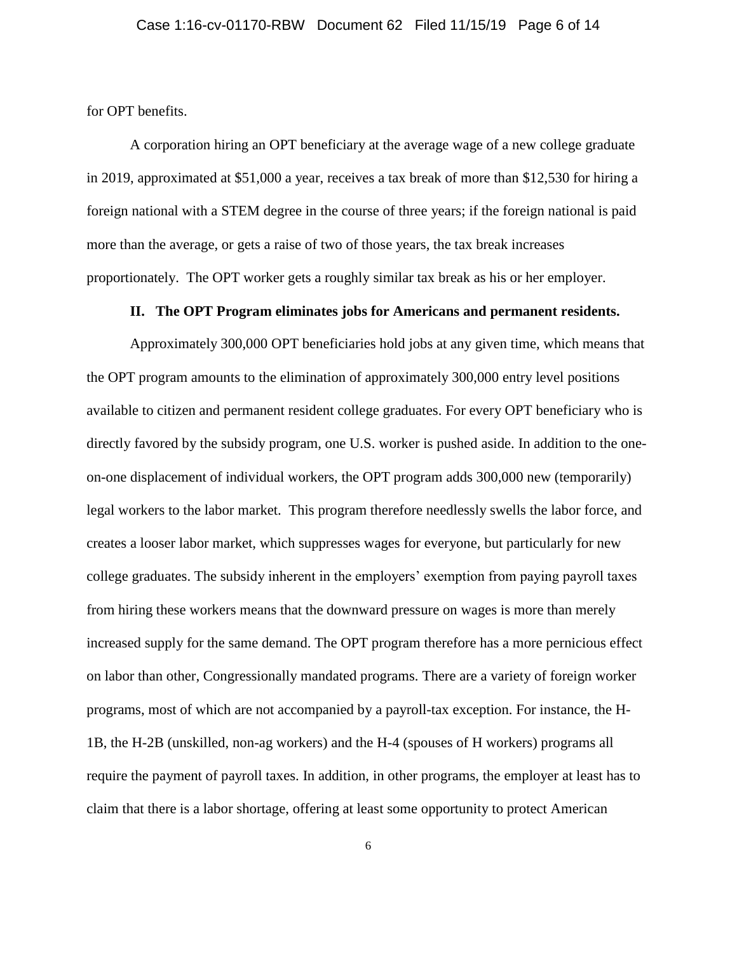for OPT benefits.

A corporation hiring an OPT beneficiary at the average wage of a new college graduate in 2019, approximated at \$51,000 a year, receives a tax break of more than \$12,530 for hiring a foreign national with a STEM degree in the course of three years; if the foreign national is paid more than the average, or gets a raise of two of those years, the tax break increases proportionately. The OPT worker gets a roughly similar tax break as his or her employer.

### **II. The OPT Program eliminates jobs for Americans and permanent residents.**

Approximately 300,000 OPT beneficiaries hold jobs at any given time, which means that the OPT program amounts to the elimination of approximately 300,000 entry level positions available to citizen and permanent resident college graduates. For every OPT beneficiary who is directly favored by the subsidy program, one U.S. worker is pushed aside. In addition to the oneon-one displacement of individual workers, the OPT program adds 300,000 new (temporarily) legal workers to the labor market. This program therefore needlessly swells the labor force, and creates a looser labor market, which suppresses wages for everyone, but particularly for new college graduates. The subsidy inherent in the employers' exemption from paying payroll taxes from hiring these workers means that the downward pressure on wages is more than merely increased supply for the same demand. The OPT program therefore has a more pernicious effect on labor than other, Congressionally mandated programs. There are a variety of foreign worker programs, most of which are not accompanied by a payroll-tax exception. For instance, the H-1B, the H-2B (unskilled, non-ag workers) and the H-4 (spouses of H workers) programs all require the payment of payroll taxes. In addition, in other programs, the employer at least has to claim that there is a labor shortage, offering at least some opportunity to protect American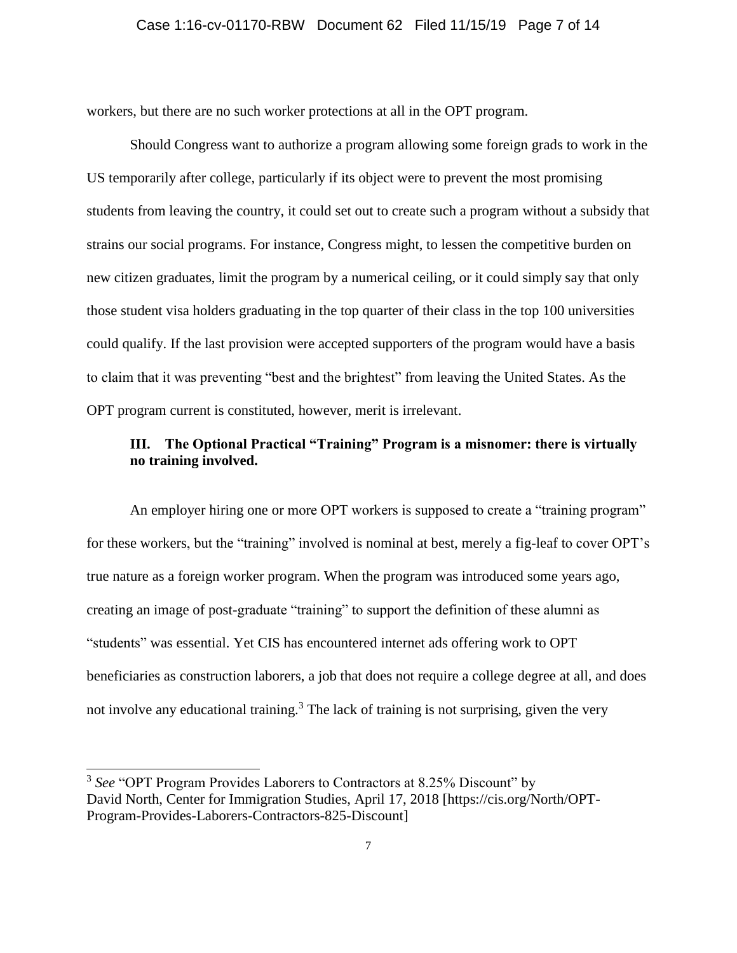### Case 1:16-cv-01170-RBW Document 62 Filed 11/15/19 Page 7 of 14

workers, but there are no such worker protections at all in the OPT program.

Should Congress want to authorize a program allowing some foreign grads to work in the US temporarily after college, particularly if its object were to prevent the most promising students from leaving the country, it could set out to create such a program without a subsidy that strains our social programs. For instance, Congress might, to lessen the competitive burden on new citizen graduates, limit the program by a numerical ceiling, or it could simply say that only those student visa holders graduating in the top quarter of their class in the top 100 universities could qualify. If the last provision were accepted supporters of the program would have a basis to claim that it was preventing "best and the brightest" from leaving the United States. As the OPT program current is constituted, however, merit is irrelevant.

# **III. The Optional Practical "Training" Program is a misnomer: there is virtually no training involved.**

An employer hiring one or more OPT workers is supposed to create a "training program" for these workers, but the "training" involved is nominal at best, merely a fig-leaf to cover OPT's true nature as a foreign worker program. When the program was introduced some years ago, creating an image of post-graduate "training" to support the definition of these alumni as "students" was essential. Yet CIS has encountered internet ads offering work to OPT beneficiaries as construction laborers, a job that does not require a college degree at all, and does not involve any educational training.<sup>3</sup> The lack of training is not surprising, given the very

<sup>&</sup>lt;sup>3</sup> See "OPT Program Provides Laborers to Contractors at 8.25% Discount" by David North, Center for Immigration Studies, April 17, 2018 [https://cis.org/North/OPT-Program-Provides-Laborers-Contractors-825-Discount]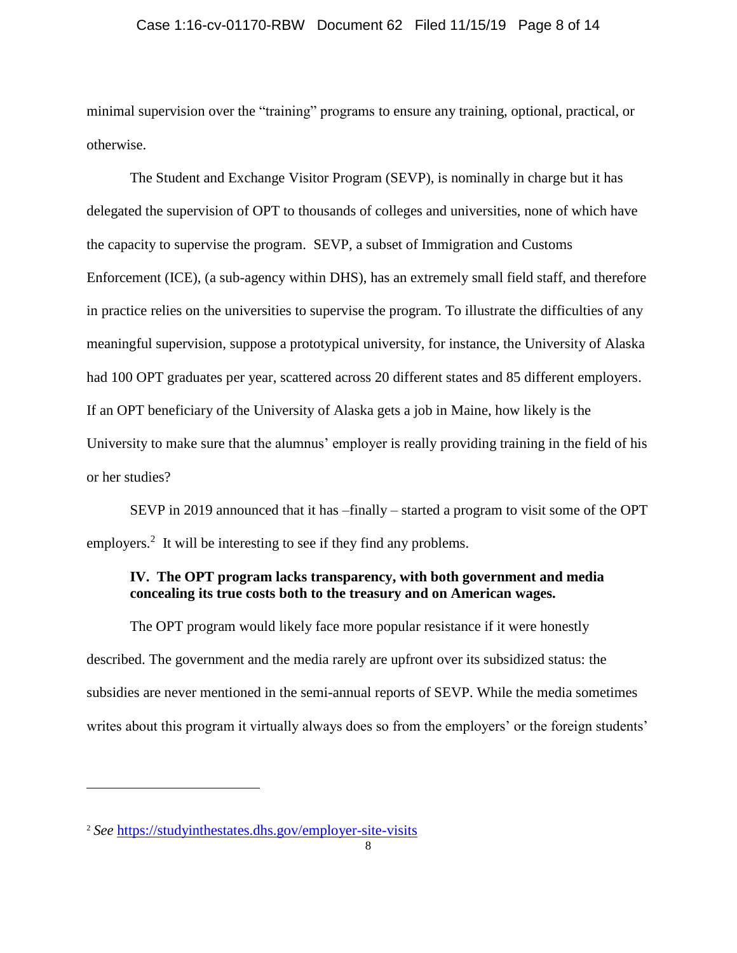### Case 1:16-cv-01170-RBW Document 62 Filed 11/15/19 Page 8 of 14

minimal supervision over the "training" programs to ensure any training, optional, practical, or otherwise.

The Student and Exchange Visitor Program (SEVP), is nominally in charge but it has delegated the supervision of OPT to thousands of colleges and universities, none of which have the capacity to supervise the program. SEVP, a subset of Immigration and Customs Enforcement (ICE), (a sub-agency within DHS), has an extremely small field staff, and therefore in practice relies on the universities to supervise the program. To illustrate the difficulties of any meaningful supervision, suppose a prototypical university, for instance, the University of Alaska had 100 OPT graduates per year, scattered across 20 different states and 85 different employers. If an OPT beneficiary of the University of Alaska gets a job in Maine, how likely is the University to make sure that the alumnus' employer is really providing training in the field of his or her studies?

SEVP in 2019 announced that it has –finally – started a program to visit some of the OPT employers.<sup>2</sup> It will be interesting to see if they find any problems.

## **IV. The OPT program lacks transparency, with both government and media concealing its true costs both to the treasury and on American wages.**

The OPT program would likely face more popular resistance if it were honestly described. The government and the media rarely are upfront over its subsidized status: the subsidies are never mentioned in the semi-annual reports of SEVP. While the media sometimes writes about this program it virtually always does so from the employers' or the foreign students'

<sup>2</sup> *See* https://studyinthestates.dhs.gov/employer-site-visits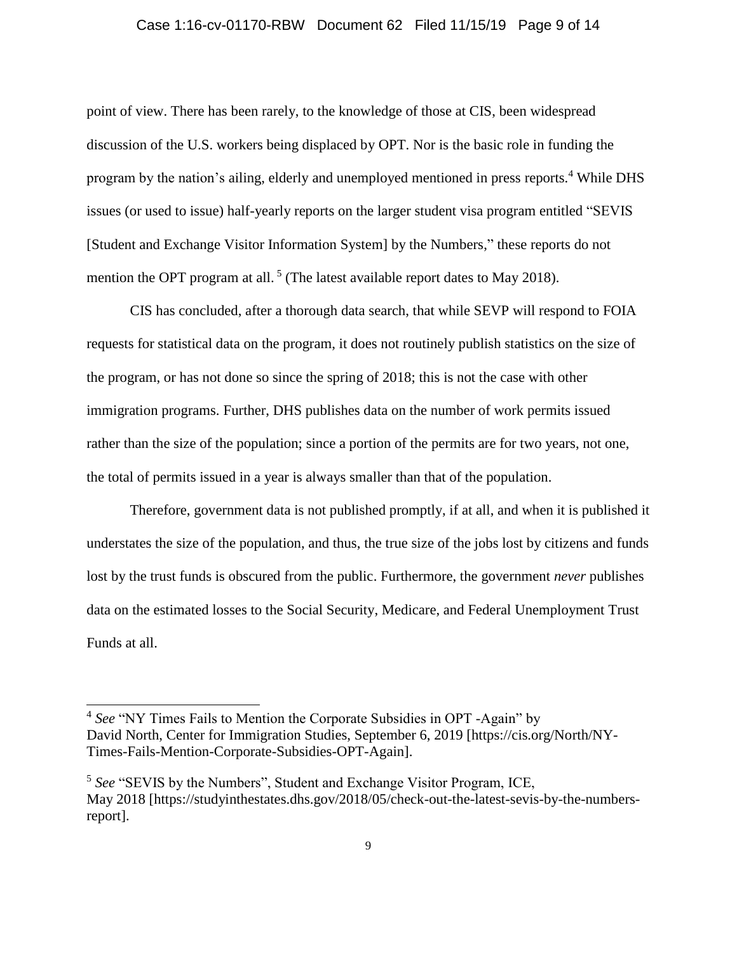### Case 1:16-cv-01170-RBW Document 62 Filed 11/15/19 Page 9 of 14

point of view. There has been rarely, to the knowledge of those at CIS, been widespread discussion of the U.S. workers being displaced by OPT. Nor is the basic role in funding the program by the nation's ailing, elderly and unemployed mentioned in press reports.<sup>4</sup> While DHS issues (or used to issue) half-yearly reports on the larger student visa program entitled "SEVIS [Student and Exchange Visitor Information System] by the Numbers," these reports do not mention the OPT program at all.<sup>5</sup> (The latest available report dates to May 2018).

CIS has concluded, after a thorough data search, that while SEVP will respond to FOIA requests for statistical data on the program, it does not routinely publish statistics on the size of the program, or has not done so since the spring of 2018; this is not the case with other immigration programs. Further, DHS publishes data on the number of work permits issued rather than the size of the population; since a portion of the permits are for two years, not one, the total of permits issued in a year is always smaller than that of the population.

Therefore, government data is not published promptly, if at all, and when it is published it understates the size of the population, and thus, the true size of the jobs lost by citizens and funds lost by the trust funds is obscured from the public. Furthermore, the government *never* publishes data on the estimated losses to the Social Security, Medicare, and Federal Unemployment Trust Funds at all.

l

<sup>4</sup> *See* "NY Times Fails to Mention the Corporate Subsidies in OPT -Again" by David North, Center for Immigration Studies, September 6, 2019 [https://cis.org/North/NY-Times-Fails-Mention-Corporate-Subsidies-OPT-Again].

<sup>&</sup>lt;sup>5</sup> See "SEVIS by the Numbers", Student and Exchange Visitor Program, ICE, May 2018 [https://studyinthestates.dhs.gov/2018/05/check-out-the-latest-sevis-by-the-numbersreport].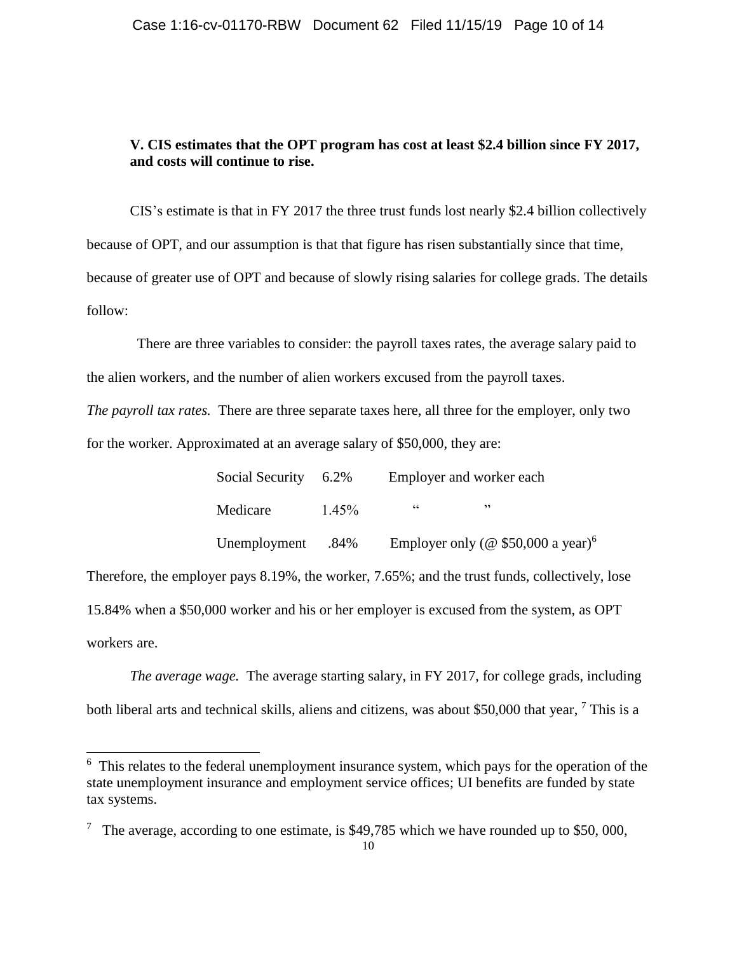## **V. CIS estimates that the OPT program has cost at least \$2.4 billion since FY 2017, and costs will continue to rise.**

CIS's estimate is that in FY 2017 the three trust funds lost nearly \$2.4 billion collectively because of OPT, and our assumption is that that figure has risen substantially since that time, because of greater use of OPT and because of slowly rising salaries for college grads. The details follow:

 There are three variables to consider: the payroll taxes rates, the average salary paid to the alien workers, and the number of alien workers excused from the payroll taxes. *The payroll tax rates.* There are three separate taxes here, all three for the employer, only two

for the worker. Approximated at an average salary of \$50,000, they are:

 $\overline{a}$ 

| Social Security | 6.2%     | Employer and worker each |                                                 |  |
|-----------------|----------|--------------------------|-------------------------------------------------|--|
| Medicare        | $1.45\%$ | 66                       | ,,                                              |  |
| Unemployment    | .84%     |                          | Employer only (@ $$50,000$ a year) <sup>6</sup> |  |

Therefore, the employer pays 8.19%, the worker, 7.65%; and the trust funds, collectively, lose 15.84% when a \$50,000 worker and his or her employer is excused from the system, as OPT workers are.

*The average wage.* The average starting salary, in FY 2017, for college grads, including both liberal arts and technical skills, aliens and citizens, was about \$50,000 that year, <sup>7</sup> This is a

<sup>&</sup>lt;sup>6</sup> This relates to the federal unemployment insurance system, which pays for the operation of the state unemployment insurance and employment service offices; UI benefits are funded by state tax systems.

<sup>&</sup>lt;sup>7</sup> The average, according to one estimate, is \$49,785 which we have rounded up to \$50,000,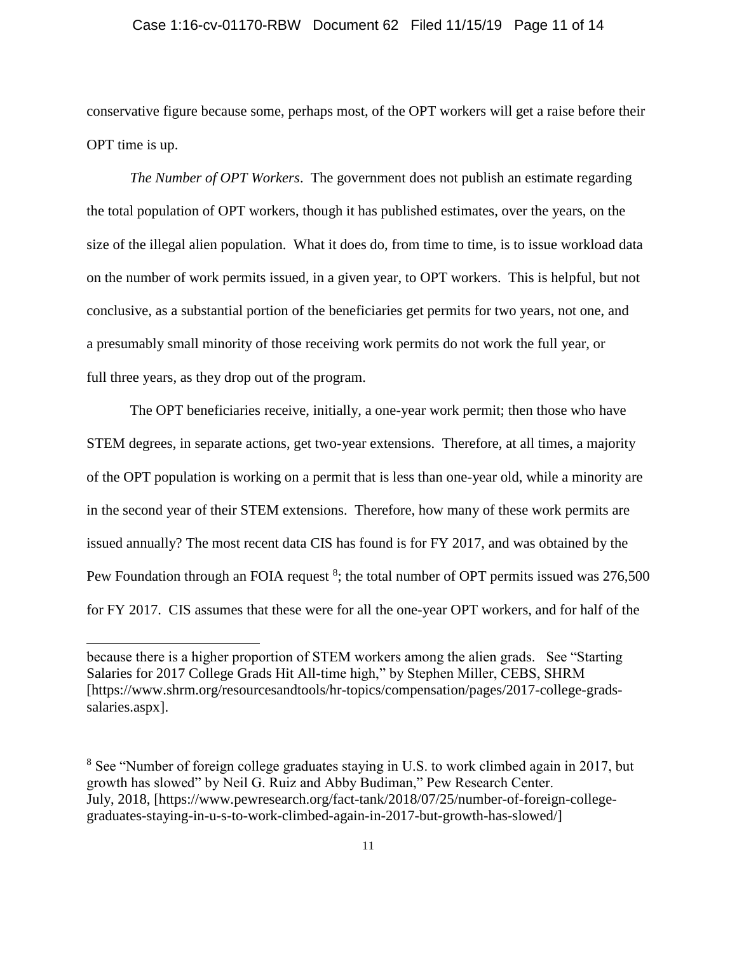### Case 1:16-cv-01170-RBW Document 62 Filed 11/15/19 Page 11 of 14

conservative figure because some, perhaps most, of the OPT workers will get a raise before their OPT time is up.

*The Number of OPT Workers*. The government does not publish an estimate regarding the total population of OPT workers, though it has published estimates, over the years, on the size of the illegal alien population. What it does do, from time to time, is to issue workload data on the number of work permits issued, in a given year, to OPT workers. This is helpful, but not conclusive, as a substantial portion of the beneficiaries get permits for two years, not one, and a presumably small minority of those receiving work permits do not work the full year, or full three years, as they drop out of the program.

The OPT beneficiaries receive, initially, a one-year work permit; then those who have STEM degrees, in separate actions, get two-year extensions. Therefore, at all times, a majority of the OPT population is working on a permit that is less than one-year old, while a minority are in the second year of their STEM extensions. Therefore, how many of these work permits are issued annually? The most recent data CIS has found is for FY 2017, and was obtained by the Pew Foundation through an FOIA request <sup>8</sup>; the total number of OPT permits issued was 276,500 for FY 2017. CIS assumes that these were for all the one-year OPT workers, and for half of the

because there is a higher proportion of STEM workers among the alien grads. See "Starting Salaries for 2017 College Grads Hit All-time high," by Stephen Miller, CEBS, SHRM [https://www.shrm.org/resourcesandtools/hr-topics/compensation/pages/2017-college-gradssalaries.aspx].

<sup>&</sup>lt;sup>8</sup> See "Number of foreign college graduates staying in U.S. to work climbed again in 2017, but growth has slowed" by Neil G. Ruiz and Abby Budiman," Pew Research Center. July, 2018, [https://www.pewresearch.org/fact-tank/2018/07/25/number-of-foreign-collegegraduates-staying-in-u-s-to-work-climbed-again-in-2017-but-growth-has-slowed/]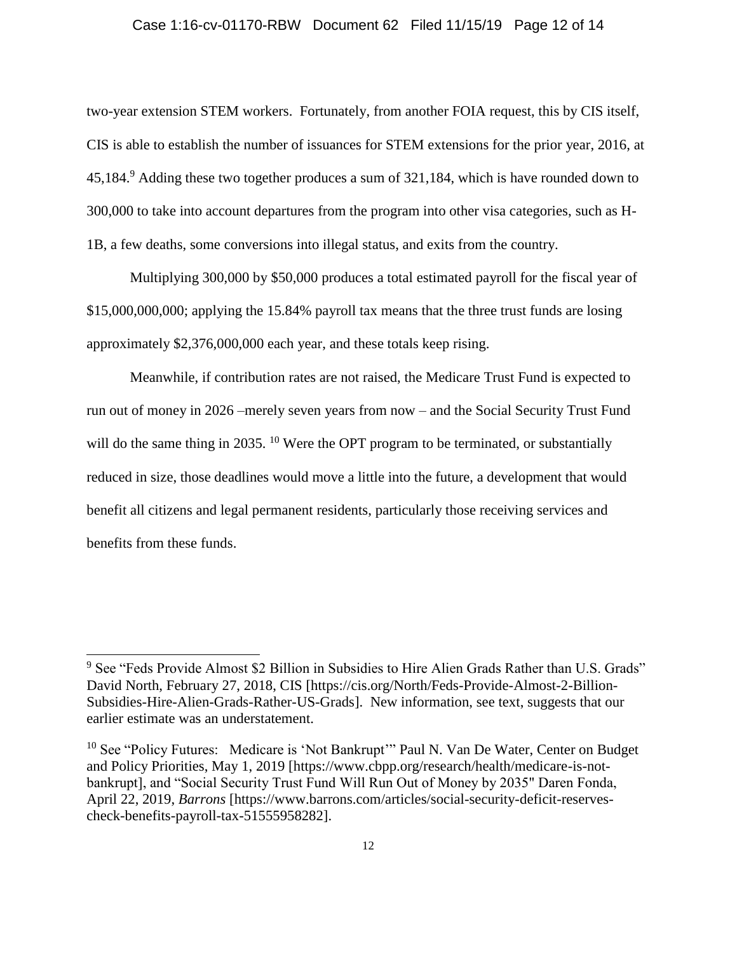### Case 1:16-cv-01170-RBW Document 62 Filed 11/15/19 Page 12 of 14

two-year extension STEM workers. Fortunately, from another FOIA request, this by CIS itself, CIS is able to establish the number of issuances for STEM extensions for the prior year, 2016, at 45,184.<sup>9</sup> Adding these two together produces a sum of 321,184, which is have rounded down to 300,000 to take into account departures from the program into other visa categories, such as H-1B, a few deaths, some conversions into illegal status, and exits from the country.

Multiplying 300,000 by \$50,000 produces a total estimated payroll for the fiscal year of \$15,000,000,000; applying the 15.84% payroll tax means that the three trust funds are losing approximately \$2,376,000,000 each year, and these totals keep rising.

Meanwhile, if contribution rates are not raised, the Medicare Trust Fund is expected to run out of money in 2026 –merely seven years from now – and the Social Security Trust Fund will do the same thing in 2035. <sup>10</sup> Were the OPT program to be terminated, or substantially reduced in size, those deadlines would move a little into the future, a development that would benefit all citizens and legal permanent residents, particularly those receiving services and benefits from these funds.

<sup>&</sup>lt;sup>9</sup> See "Feds Provide Almost \$2 Billion in Subsidies to Hire Alien Grads Rather than U.S. Grads" David North, February 27, 2018, CIS [https://cis.org/North/Feds-Provide-Almost-2-Billion-Subsidies-Hire-Alien-Grads-Rather-US-Grads]. New information, see text, suggests that our earlier estimate was an understatement.

 $10$  See "Policy Futures: Medicare is 'Not Bankrupt'" Paul N. Van De Water, Center on Budget and Policy Priorities, May 1, 2019 [https://www.cbpp.org/research/health/medicare-is-notbankrupt], and "Social Security Trust Fund Will Run Out of Money by 2035" Daren Fonda, April 22, 2019, *Barrons* [https://www.barrons.com/articles/social-security-deficit-reservescheck-benefits-payroll-tax-51555958282].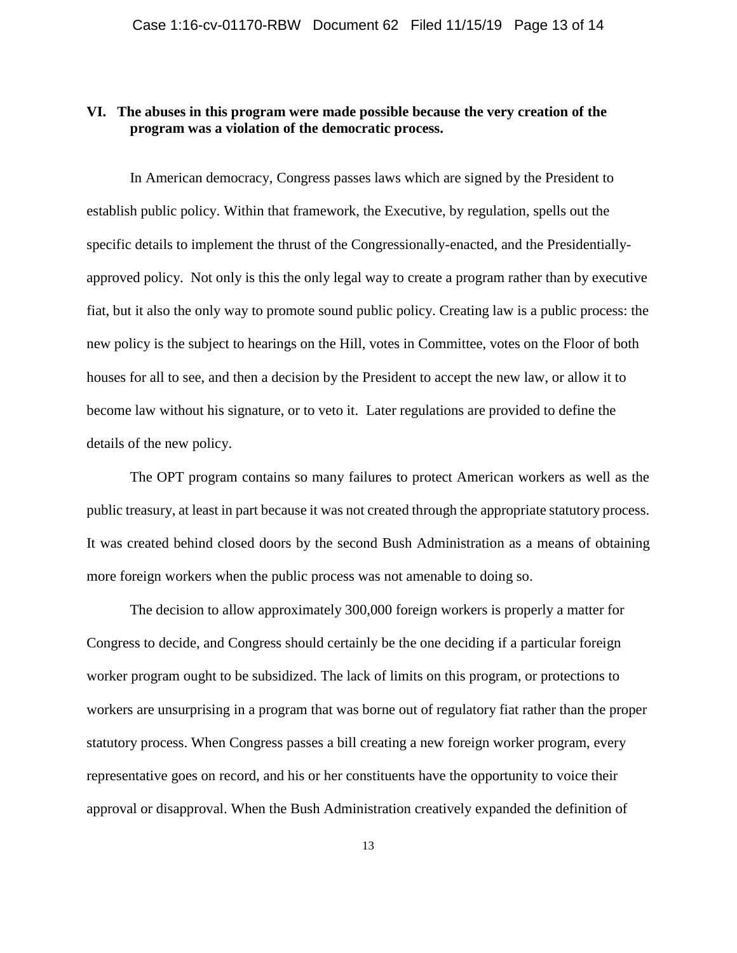## **VI. The abuses in this program were made possible because the very creation of the program was a violation of the democratic process.**

In American democracy, Congress passes laws which are signed by the President to establish public policy. Within that framework, the Executive, by regulation, spells out the specific details to implement the thrust of the Congressionally-enacted, and the Presidentiallyapproved policy. Not only is this the only legal way to create a program rather than by executive fiat, but it also the only way to promote sound public policy. Creating law is a public process: the new policy is the subject to hearings on the Hill, votes in Committee, votes on the Floor of both houses for all to see, and then a decision by the President to accept the new law, or allow it to become law without his signature, or to veto it. Later regulations are provided to define the details of the new policy.

The OPT program contains so many failures to protect American workers as well as the public treasury, at least in part because it was not created through the appropriate statutory process. It was created behind closed doors by the second Bush Administration as a means of obtaining more foreign workers when the public process was not amenable to doing so.

The decision to allow approximately 300,000 foreign workers is properly a matter for Congress to decide, and Congress should certainly be the one deciding if a particular foreign worker program ought to be subsidized. The lack of limits on this program, or protections to workers are unsurprising in a program that was borne out of regulatory fiat rather than the proper statutory process. When Congress passes a bill creating a new foreign worker program, every representative goes on record, and his or her constituents have the opportunity to voice their approval or disapproval. When the Bush Administration creatively expanded the definition of